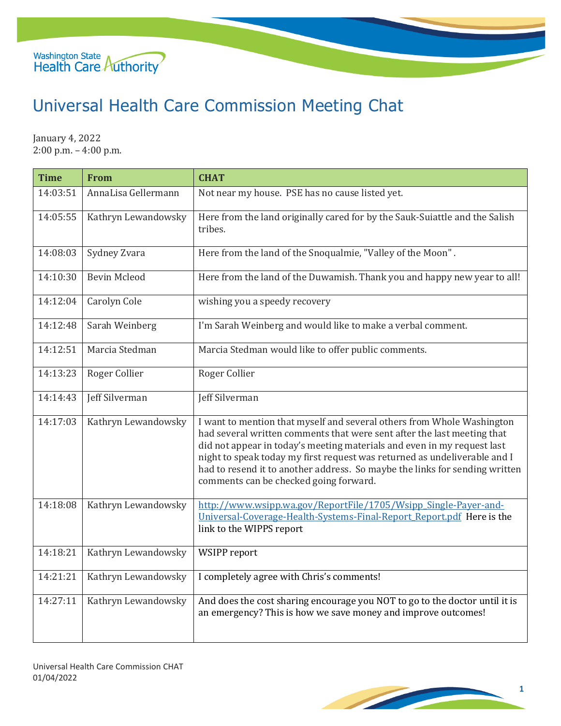

## Universal Health Care Commission Meeting Chat

January 4, 2022 2:00 p.m. – 4:00 p.m.

| <b>Time</b> | <b>From</b>         | <b>CHAT</b>                                                                                                                                                                                                                                                                                                                                                                                                                        |
|-------------|---------------------|------------------------------------------------------------------------------------------------------------------------------------------------------------------------------------------------------------------------------------------------------------------------------------------------------------------------------------------------------------------------------------------------------------------------------------|
| 14:03:51    | AnnaLisa Gellermann | Not near my house. PSE has no cause listed yet.                                                                                                                                                                                                                                                                                                                                                                                    |
| 14:05:55    | Kathryn Lewandowsky | Here from the land originally cared for by the Sauk-Suiattle and the Salish<br>tribes.                                                                                                                                                                                                                                                                                                                                             |
| 14:08:03    | Sydney Zvara        | Here from the land of the Snoqualmie, "Valley of the Moon".                                                                                                                                                                                                                                                                                                                                                                        |
| 14:10:30    | <b>Bevin Mcleod</b> | Here from the land of the Duwamish. Thank you and happy new year to all!                                                                                                                                                                                                                                                                                                                                                           |
| 14:12:04    | Carolyn Cole        | wishing you a speedy recovery                                                                                                                                                                                                                                                                                                                                                                                                      |
| 14:12:48    | Sarah Weinberg      | I'm Sarah Weinberg and would like to make a verbal comment.                                                                                                                                                                                                                                                                                                                                                                        |
| 14:12:51    | Marcia Stedman      | Marcia Stedman would like to offer public comments.                                                                                                                                                                                                                                                                                                                                                                                |
| 14:13:23    | Roger Collier       | Roger Collier                                                                                                                                                                                                                                                                                                                                                                                                                      |
| 14:14:43    | Jeff Silverman      | Jeff Silverman                                                                                                                                                                                                                                                                                                                                                                                                                     |
| 14:17:03    | Kathryn Lewandowsky | I want to mention that myself and several others from Whole Washington<br>had several written comments that were sent after the last meeting that<br>did not appear in today's meeting materials and even in my request last<br>night to speak today my first request was returned as undeliverable and I<br>had to resend it to another address. So maybe the links for sending written<br>comments can be checked going forward. |
| 14:18:08    | Kathryn Lewandowsky | http://www.wsipp.wa.gov/ReportFile/1705/Wsipp Single-Payer-and-<br>Universal-Coverage-Health-Systems-Final-Report Report.pdf Here is the<br>link to the WIPPS report                                                                                                                                                                                                                                                               |
| 14:18:21    | Kathryn Lewandowsky | WSIPP report                                                                                                                                                                                                                                                                                                                                                                                                                       |
| 14:21:21    | Kathryn Lewandowsky | I completely agree with Chris's comments!                                                                                                                                                                                                                                                                                                                                                                                          |
| 14:27:11    | Kathryn Lewandowsky | And does the cost sharing encourage you NOT to go to the doctor until it is<br>an emergency? This is how we save money and improve outcomes!                                                                                                                                                                                                                                                                                       |

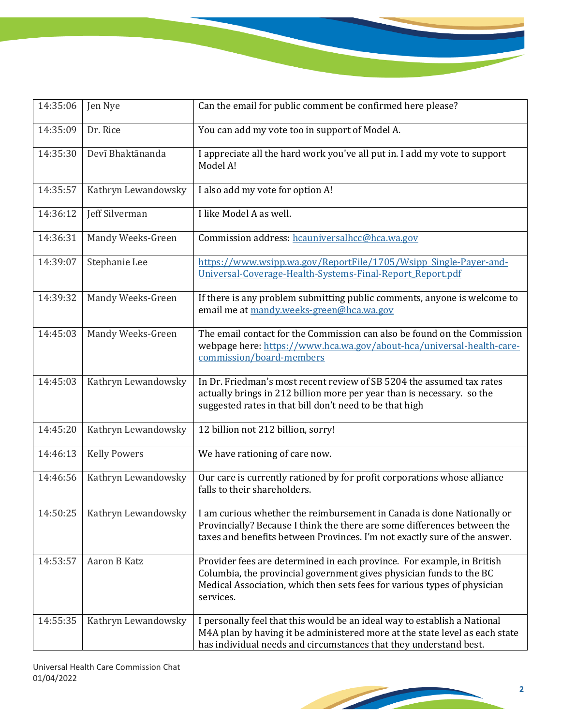

| 14:35:06 | Jen Nye             | Can the email for public comment be confirmed here please?                                                                                                                                                                             |
|----------|---------------------|----------------------------------------------------------------------------------------------------------------------------------------------------------------------------------------------------------------------------------------|
| 14:35:09 | Dr. Rice            | You can add my vote too in support of Model A.                                                                                                                                                                                         |
| 14:35:30 | Devī Bhaktānanda    | I appreciate all the hard work you've all put in. I add my vote to support<br>Model A!                                                                                                                                                 |
| 14:35:57 | Kathryn Lewandowsky | I also add my vote for option A!                                                                                                                                                                                                       |
| 14:36:12 | Jeff Silverman      | I like Model A as well.                                                                                                                                                                                                                |
| 14:36:31 | Mandy Weeks-Green   | Commission address: hcauniversalhcc@hca.wa.gov                                                                                                                                                                                         |
| 14:39:07 | Stephanie Lee       | https://www.wsipp.wa.gov/ReportFile/1705/Wsipp Single-Payer-and-<br>Universal-Coverage-Health-Systems-Final-Report Report.pdf                                                                                                          |
| 14:39:32 | Mandy Weeks-Green   | If there is any problem submitting public comments, anyone is welcome to<br>email me at mandy.weeks-green@hca.wa.gov                                                                                                                   |
| 14:45:03 | Mandy Weeks-Green   | The email contact for the Commission can also be found on the Commission<br>webpage here: https://www.hca.wa.gov/about-hca/universal-health-care-<br>commission/board-members                                                          |
| 14:45:03 | Kathryn Lewandowsky | In Dr. Friedman's most recent review of SB 5204 the assumed tax rates<br>actually brings in 212 billion more per year than is necessary. so the<br>suggested rates in that bill don't need to be that high                             |
| 14:45:20 | Kathryn Lewandowsky | 12 billion not 212 billion, sorry!                                                                                                                                                                                                     |
| 14:46:13 | <b>Kelly Powers</b> | We have rationing of care now.                                                                                                                                                                                                         |
| 14:46:56 | Kathryn Lewandowsky | Our care is currently rationed by for profit corporations whose alliance<br>falls to their shareholders.                                                                                                                               |
| 14:50:25 | Kathryn Lewandowsky | I am curious whether the reimbursement in Canada is done Nationally or<br>Provincially? Because I think the there are some differences between the<br>taxes and benefits between Provinces. I'm not exactly sure of the answer.        |
| 14:53:57 | Aaron B Katz        | Provider fees are determined in each province. For example, in British<br>Columbia, the provincial government gives physician funds to the BC<br>Medical Association, which then sets fees for various types of physician<br>services. |
| 14:55:35 | Kathryn Lewandowsky | I personally feel that this would be an ideal way to establish a National<br>M4A plan by having it be administered more at the state level as each state<br>has individual needs and circumstances that they understand best.          |

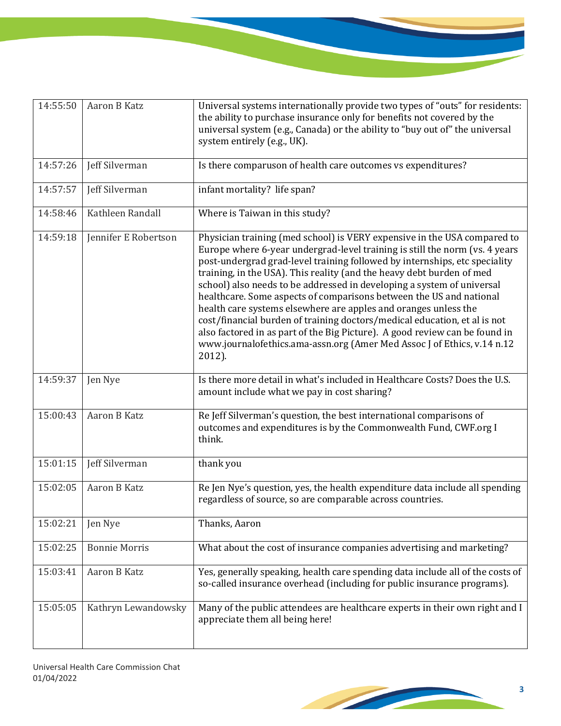

| 14:55:50 | Aaron B Katz         | Universal systems internationally provide two types of "outs" for residents:<br>the ability to purchase insurance only for benefits not covered by the<br>universal system (e.g., Canada) or the ability to "buy out of" the universal<br>system entirely (e.g., UK).                                                                                                                                                                                                                                                                                                                                                                                                                                                                                                                  |
|----------|----------------------|----------------------------------------------------------------------------------------------------------------------------------------------------------------------------------------------------------------------------------------------------------------------------------------------------------------------------------------------------------------------------------------------------------------------------------------------------------------------------------------------------------------------------------------------------------------------------------------------------------------------------------------------------------------------------------------------------------------------------------------------------------------------------------------|
| 14:57:26 | Jeff Silverman       | Is there comparuson of health care outcomes vs expenditures?                                                                                                                                                                                                                                                                                                                                                                                                                                                                                                                                                                                                                                                                                                                           |
| 14:57:57 | Jeff Silverman       | infant mortality? life span?                                                                                                                                                                                                                                                                                                                                                                                                                                                                                                                                                                                                                                                                                                                                                           |
| 14:58:46 | Kathleen Randall     | Where is Taiwan in this study?                                                                                                                                                                                                                                                                                                                                                                                                                                                                                                                                                                                                                                                                                                                                                         |
| 14:59:18 | Jennifer E Robertson | Physician training (med school) is VERY expensive in the USA compared to<br>Europe where 6-year undergrad-level training is still the norm (vs. 4 years<br>post-undergrad grad-level training followed by internships, etc speciality<br>training, in the USA). This reality (and the heavy debt burden of med<br>school) also needs to be addressed in developing a system of universal<br>healthcare. Some aspects of comparisons between the US and national<br>health care systems elsewhere are apples and oranges unless the<br>cost/financial burden of training doctors/medical education, et al is not<br>also factored in as part of the Big Picture). A good review can be found in<br>www.journalofethics.ama-assn.org (Amer Med Assoc J of Ethics, v.14 n.12<br>$2012$ ). |
| 14:59:37 | Jen Nye              | Is there more detail in what's included in Healthcare Costs? Does the U.S.<br>amount include what we pay in cost sharing?                                                                                                                                                                                                                                                                                                                                                                                                                                                                                                                                                                                                                                                              |
| 15:00:43 | Aaron B Katz         | Re Jeff Silverman's question, the best international comparisons of<br>outcomes and expenditures is by the Commonwealth Fund, CWF.org I<br>think.                                                                                                                                                                                                                                                                                                                                                                                                                                                                                                                                                                                                                                      |
| 15:01:15 | Jeff Silverman       | thank you                                                                                                                                                                                                                                                                                                                                                                                                                                                                                                                                                                                                                                                                                                                                                                              |
| 15:02:05 | Aaron B Katz         | Re Jen Nye's question, yes, the health expenditure data include all spending<br>regardless of source, so are comparable across countries.                                                                                                                                                                                                                                                                                                                                                                                                                                                                                                                                                                                                                                              |
| 15:02:21 | Jen Nye              | Thanks, Aaron                                                                                                                                                                                                                                                                                                                                                                                                                                                                                                                                                                                                                                                                                                                                                                          |
| 15:02:25 | <b>Bonnie Morris</b> | What about the cost of insurance companies advertising and marketing?                                                                                                                                                                                                                                                                                                                                                                                                                                                                                                                                                                                                                                                                                                                  |
| 15:03:41 | Aaron B Katz         | Yes, generally speaking, health care spending data include all of the costs of<br>so-called insurance overhead (including for public insurance programs).                                                                                                                                                                                                                                                                                                                                                                                                                                                                                                                                                                                                                              |
| 15:05:05 | Kathryn Lewandowsky  | Many of the public attendees are healthcare experts in their own right and I<br>appreciate them all being here!                                                                                                                                                                                                                                                                                                                                                                                                                                                                                                                                                                                                                                                                        |

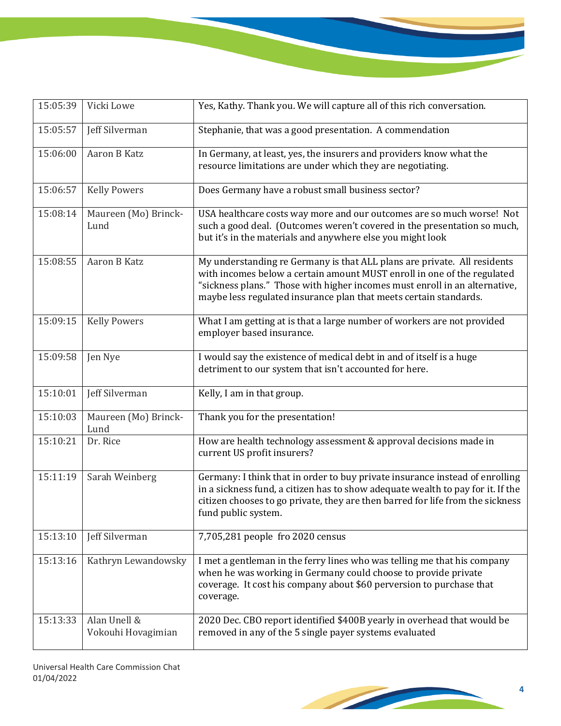

| 15:05:39 | Vicki Lowe                         | Yes, Kathy. Thank you. We will capture all of this rich conversation.                                                                                                                                                                                                                                  |
|----------|------------------------------------|--------------------------------------------------------------------------------------------------------------------------------------------------------------------------------------------------------------------------------------------------------------------------------------------------------|
| 15:05:57 | Jeff Silverman                     | Stephanie, that was a good presentation. A commendation                                                                                                                                                                                                                                                |
| 15:06:00 | Aaron B Katz                       | In Germany, at least, yes, the insurers and providers know what the<br>resource limitations are under which they are negotiating.                                                                                                                                                                      |
| 15:06:57 | <b>Kelly Powers</b>                | Does Germany have a robust small business sector?                                                                                                                                                                                                                                                      |
| 15:08:14 | Maureen (Mo) Brinck-<br>Lund       | USA healthcare costs way more and our outcomes are so much worse! Not<br>such a good deal. (Outcomes weren't covered in the presentation so much,<br>but it's in the materials and anywhere else you might look                                                                                        |
| 15:08:55 | Aaron B Katz                       | My understanding re Germany is that ALL plans are private. All residents<br>with incomes below a certain amount MUST enroll in one of the regulated<br>"sickness plans." Those with higher incomes must enroll in an alternative,<br>maybe less regulated insurance plan that meets certain standards. |
| 15:09:15 | <b>Kelly Powers</b>                | What I am getting at is that a large number of workers are not provided<br>employer based insurance.                                                                                                                                                                                                   |
| 15:09:58 | Jen Nye                            | I would say the existence of medical debt in and of itself is a huge<br>detriment to our system that isn't accounted for here.                                                                                                                                                                         |
| 15:10:01 | Jeff Silverman                     | Kelly, I am in that group.                                                                                                                                                                                                                                                                             |
| 15:10:03 | Maureen (Mo) Brinck-<br>Lund       | Thank you for the presentation!                                                                                                                                                                                                                                                                        |
| 15:10:21 | Dr. Rice                           | How are health technology assessment & approval decisions made in<br>current US profit insurers?                                                                                                                                                                                                       |
| 15:11:19 | Sarah Weinberg                     | Germany: I think that in order to buy private insurance instead of enrolling<br>in a sickness fund, a citizen has to show adequate wealth to pay for it. If the<br>citizen chooses to go private, they are then barred for life from the sickness<br>fund public system.                               |
| 15:13:10 | Jeff Silverman                     | 7,705,281 people fro 2020 census                                                                                                                                                                                                                                                                       |
| 15:13:16 | Kathryn Lewandowsky                | I met a gentleman in the ferry lines who was telling me that his company<br>when he was working in Germany could choose to provide private<br>coverage. It cost his company about \$60 perversion to purchase that<br>coverage.                                                                        |
| 15:13:33 | Alan Unell &<br>Vokouhi Hovagimian | 2020 Dec. CBO report identified \$400B yearly in overhead that would be<br>removed in any of the 5 single payer systems evaluated                                                                                                                                                                      |

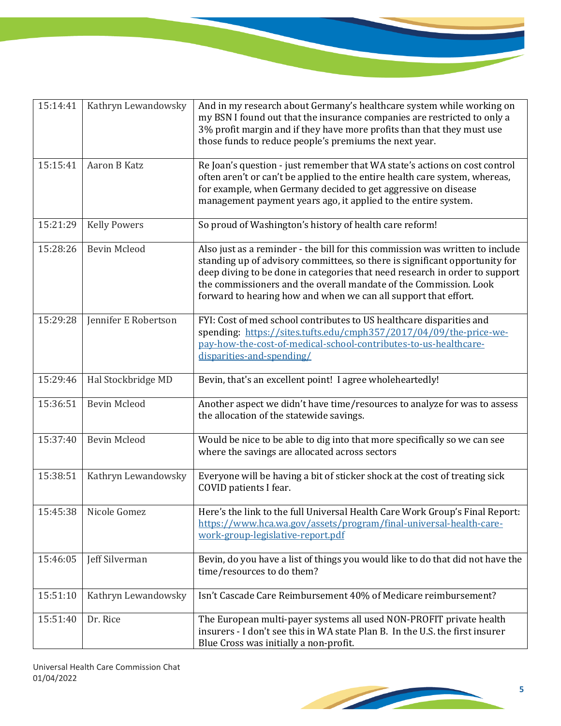

| 15:14:41 | Kathryn Lewandowsky  | And in my research about Germany's healthcare system while working on<br>my BSN I found out that the insurance companies are restricted to only a<br>3% profit margin and if they have more profits than that they must use<br>those funds to reduce people's premiums the next year.                                                                                               |
|----------|----------------------|-------------------------------------------------------------------------------------------------------------------------------------------------------------------------------------------------------------------------------------------------------------------------------------------------------------------------------------------------------------------------------------|
| 15:15:41 | Aaron B Katz         | Re Joan's question - just remember that WA state's actions on cost control<br>often aren't or can't be applied to the entire health care system, whereas,<br>for example, when Germany decided to get aggressive on disease<br>management payment years ago, it applied to the entire system.                                                                                       |
| 15:21:29 | <b>Kelly Powers</b>  | So proud of Washington's history of health care reform!                                                                                                                                                                                                                                                                                                                             |
| 15:28:26 | <b>Bevin Mcleod</b>  | Also just as a reminder - the bill for this commission was written to include<br>standing up of advisory committees, so there is significant opportunity for<br>deep diving to be done in categories that need research in order to support<br>the commissioners and the overall mandate of the Commission. Look<br>forward to hearing how and when we can all support that effort. |
| 15:29:28 | Jennifer E Robertson | FYI: Cost of med school contributes to US healthcare disparities and<br>spending: https://sites.tufts.edu/cmph357/2017/04/09/the-price-we-<br>pay-how-the-cost-of-medical-school-contributes-to-us-healthcare-<br>disparities-and-spending/                                                                                                                                         |
| 15:29:46 | Hal Stockbridge MD   | Bevin, that's an excellent point! I agree wholeheartedly!                                                                                                                                                                                                                                                                                                                           |
| 15:36:51 | <b>Bevin Mcleod</b>  | Another aspect we didn't have time/resources to analyze for was to assess<br>the allocation of the statewide savings.                                                                                                                                                                                                                                                               |
| 15:37:40 | <b>Bevin Mcleod</b>  | Would be nice to be able to dig into that more specifically so we can see<br>where the savings are allocated across sectors                                                                                                                                                                                                                                                         |
| 15:38:51 | Kathryn Lewandowsky  | Everyone will be having a bit of sticker shock at the cost of treating sick<br>COVID patients I fear.                                                                                                                                                                                                                                                                               |
| 15:45:38 | Nicole Gomez         | Here's the link to the full Universal Health Care Work Group's Final Report:<br>https://www.hca.wa.gov/assets/program/final-universal-health-care-<br>work-group-legislative-report.pdf                                                                                                                                                                                             |
| 15:46:05 | Jeff Silverman       | Bevin, do you have a list of things you would like to do that did not have the<br>time/resources to do them?                                                                                                                                                                                                                                                                        |
| 15:51:10 | Kathryn Lewandowsky  | Isn't Cascade Care Reimbursement 40% of Medicare reimbursement?                                                                                                                                                                                                                                                                                                                     |
| 15:51:40 | Dr. Rice             | The European multi-payer systems all used NON-PROFIT private health<br>insurers - I don't see this in WA state Plan B. In the U.S. the first insurer<br>Blue Cross was initially a non-profit.                                                                                                                                                                                      |

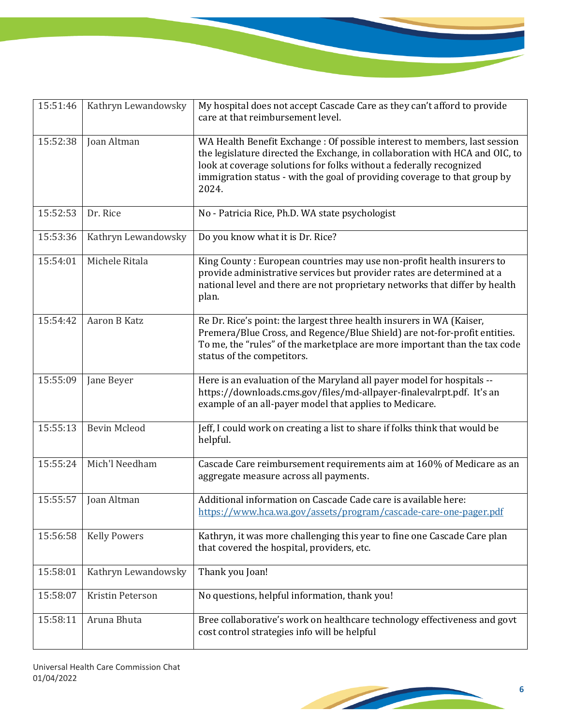

| 15:51:46 | Kathryn Lewandowsky | My hospital does not accept Cascade Care as they can't afford to provide<br>care at that reimbursement level.                                                                                                                                                                                                           |
|----------|---------------------|-------------------------------------------------------------------------------------------------------------------------------------------------------------------------------------------------------------------------------------------------------------------------------------------------------------------------|
| 15:52:38 | Joan Altman         | WA Health Benefit Exchange : Of possible interest to members, last session<br>the legislature directed the Exchange, in collaboration with HCA and OIC, to<br>look at coverage solutions for folks without a federally recognized<br>immigration status - with the goal of providing coverage to that group by<br>2024. |
| 15:52:53 | Dr. Rice            | No - Patricia Rice, Ph.D. WA state psychologist                                                                                                                                                                                                                                                                         |
| 15:53:36 | Kathryn Lewandowsky | Do you know what it is Dr. Rice?                                                                                                                                                                                                                                                                                        |
| 15:54:01 | Michele Ritala      | King County: European countries may use non-profit health insurers to<br>provide administrative services but provider rates are determined at a<br>national level and there are not proprietary networks that differ by health<br>plan.                                                                                 |
| 15:54:42 | Aaron B Katz        | Re Dr. Rice's point: the largest three health insurers in WA (Kaiser,<br>Premera/Blue Cross, and Regence/Blue Shield) are not-for-profit entities.<br>To me, the "rules" of the marketplace are more important than the tax code<br>status of the competitors.                                                          |
| 15:55:09 | Jane Beyer          | Here is an evaluation of the Maryland all payer model for hospitals --<br>https://downloads.cms.gov/files/md-allpayer-finalevalrpt.pdf. It's an<br>example of an all-payer model that applies to Medicare.                                                                                                              |
| 15:55:13 | <b>Bevin Mcleod</b> | Jeff, I could work on creating a list to share if folks think that would be<br>helpful.                                                                                                                                                                                                                                 |
| 15:55:24 | Mich'l Needham      | Cascade Care reimbursement requirements aim at 160% of Medicare as an<br>aggregate measure across all payments.                                                                                                                                                                                                         |
| 15:55:57 | Joan Altman         | Additional information on Cascade Cade care is available here:<br>https://www.hca.wa.gov/assets/program/cascade-care-one-pager.pdf                                                                                                                                                                                      |
| 15:56:58 | <b>Kelly Powers</b> | Kathryn, it was more challenging this year to fine one Cascade Care plan<br>that covered the hospital, providers, etc.                                                                                                                                                                                                  |
| 15:58:01 | Kathryn Lewandowsky | Thank you Joan!                                                                                                                                                                                                                                                                                                         |
| 15:58:07 | Kristin Peterson    | No questions, helpful information, thank you!                                                                                                                                                                                                                                                                           |
| 15:58:11 | Aruna Bhuta         | Bree collaborative's work on healthcare technology effectiveness and govt<br>cost control strategies info will be helpful                                                                                                                                                                                               |